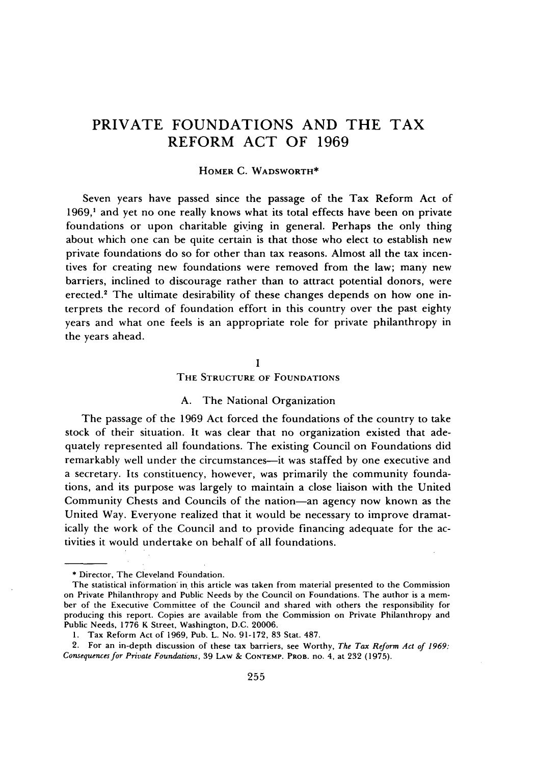# PRIVATE **FOUNDATIONS AND** THE TAX REFORM **ACT** OF **1969**

### HOMER **C.** WADSWORTH\*

Seven years have passed since the passage of the Tax Reform Act of 1969,1 and yet no one really knows what its total effects have been on private foundations or upon charitable giving in general. Perhaps the only thing about which one can be quite certain is that those who elect to establish new private foundations do so for other than tax reasons. Almost all the tax incentives for creating new foundations were removed from the law; many new barriers, inclined to discourage rather than to attract potential donors, were erected.' The ultimate desirability of these changes depends on how one interprets the record of foundation effort in this country over the past eighty years and what one feels is an appropriate role for private philanthropy in the years ahead.

**I**

THE **STRUCTURE** OF **FOUNDATIONS**

### A. The National Organization

The passage of the 1969 Act forced the foundations of the country to take stock of their situation. It was clear that no organization existed that adequately represented all foundations. The existing Council on Foundations did remarkably well under the circumstances—it was staffed by one executive and a secretary. Its constituency, however, was primarily the community foundations, and its purpose was largely to maintain a close liaison with the United Community Chests and Councils of the nation-an agency now known as the United Way. Everyone realized that it would be necessary to improve dramatically the work of the Council and to provide financing adequate for the activities it would undertake on behalf of all foundations.

<sup>\*</sup> Director, The Cleveland Foundation.

The statistical information in this article was taken from material presented to the Commission on Private Philanthropy and Public Needs **by** the Council on Foundations. The author is a member of the Executive Committee of the Council and shared with others the responsibility for producing this report. Copies are available from the Commission on Private Philanthropy and Public Needs, 1776 K Street, Washington, D.C. 20006.

<sup>1.</sup> Tax Reform Act of 1969, Pub. L. No. 91-172, 83 Stat. 487.

<sup>2.</sup> For an in-depth discussion of these tax barriers, see Worthy, *The Tax Reform Act of 1969: Consequences for Private Foundations,* 39 LAw **& CONTEMP.** PROB. no. 4, at 232 (1975).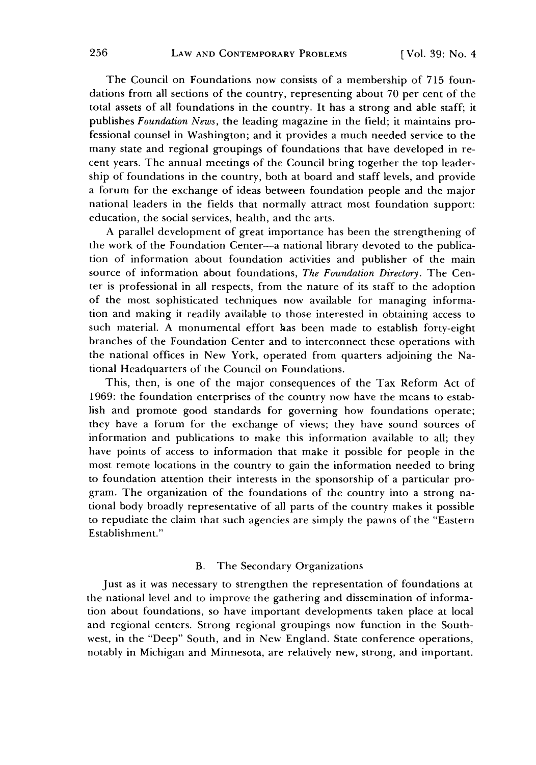The Council on Foundations now consists of a membership of 715 foundations from all sections of the country, representing about 70 per cent of the total assets of all foundations in the country. It has a strong and able staff; it publishes *Foundation News,* the leading magazine in the field; it maintains professional counsel in Washington; and it provides a much needed service to the many state and regional groupings of foundations that have developed in recent years. The annual meetings of the Council bring together the top leadership of foundations in the country, both at board and staff levels, and provide a forum for the exchange of ideas between foundation people and the major national leaders in the fields that normally attract most foundation support: education, the social services, health, and the arts.

A parallel development of great importance has been the strengthening of the work of the Foundation Center-a national library devoted to the publication of information about foundation activities and publisher of the main source of information about foundations, *The Foundation Directory.* The Center is professional in all respects, from the nature of its staff to the adoption of the most sophisticated techniques now available for managing information and making it readily available to those interested in obtaining access to such material. A monumental effort has been made to establish forty-eight branches of the Foundation Center and to interconnect these operations with the national offices in New York, operated from quarters adjoining the National Headquarters of the Council on Foundations.

This, then, is one of the major consequences of the Tax Reform Act of 1969: the foundation enterprises of the country now have the means to establish and promote good standards for governing how foundations operate; they have a forum for the exchange of views; they have sound sources of information and publications to make this information available to all; they have points of access to information that make it possible for people in the most remote locations in the country to gain the information needed to bring to foundation attention their interests in the sponsorship of a particular program. The organization of the foundations of the country into a strong national body broadly representative of all parts of the country makes it possible to repudiate the claim that such agencies are simply the pawns of the "Eastern Establishment."

### B. The Secondary Organizations

Just as it was necessary to strengthen the representation of foundations at the national level and to improve the gathering and dissemination of information about foundations, so have important developments taken place at local and regional centers. Strong regional groupings now function in the Southwest, in the "Deep" South, and in New England. State conference operations, notably in Michigan and Minnesota, are relatively new, strong, and important.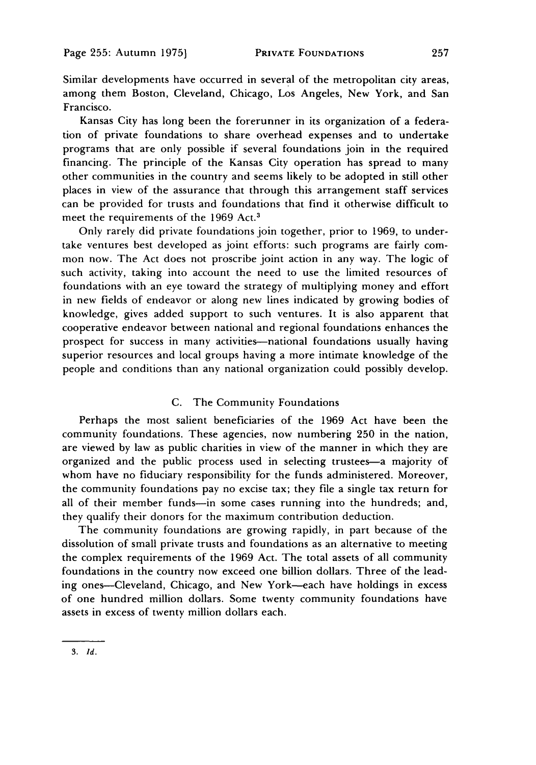Similar developments have occurred in several of the metropolitan city areas, among them Boston, Cleveland, Chicago, Los Angeles, New York, and San Francisco.

Kansas City has long been the forerunner in its organization of a federation of private foundations to share overhead expenses and to undertake programs that are only possible if several foundations join in the required financing. The principle of the Kansas City operation has spread to many other communities in the country and seems likely to be adopted in still other places in view of the assurance that through this arrangement staff services can be provided for trusts and foundations that find it otherwise difficult to meet the requirements of the 1969 Act.<sup>3</sup>

Only rarely did private foundations join together, prior to 1969, to undertake ventures best developed as joint efforts: such programs are fairly common now. The Act does not proscribe joint action in any way. The logic of such activity, taking into account the need to use the limited resources of foundations with an eye toward the strategy of multiplying money and effort in new fields of endeavor or along new lines indicated by growing bodies of knowledge, gives added support to such ventures. It is also apparent that cooperative endeavor between national and regional foundations enhances the prospect for success in many activities-national foundations usually having superior resources and local groups having a more intimate knowledge of the people and conditions than any national organization could possibly develop.

# C. The Community Foundations

Perhaps the most salient beneficiaries of the 1969 Act have been the community foundations. These agencies, now numbering 250 in the nation, are viewed by law as public charities in view of the manner in which they are organized and the public process used in selecting trustees-a majority of whom have no fiduciary responsibility for the funds administered. Moreover, the community foundations pay no excise tax; they file a single tax return for all of their member funds-in some cases running into the hundreds; and, they qualify their donors for the maximum contribution deduction.

The community foundations are growing rapidly, in part because of the dissolution of small private trusts and foundations as an alternative to meeting the complex requirements of the 1969 Act. The total assets of all community foundations in the country now exceed one billion dollars. Three of the leading ones-Cleveland, Chicago, and New York-each have holdings in excess of one hundred million dollars. Some twenty community foundations have assets in excess of twenty million dollars each.

<sup>3.</sup> *Id.*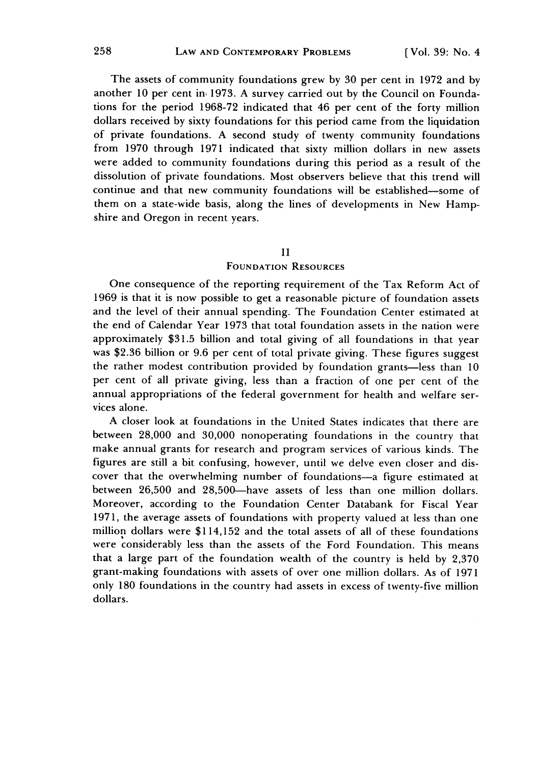The assets of community foundations grew by 30 per cent in 1972 and by another 10 per cent in, 1973. A survey carried out by the Council on Foundations for the period 1968-72 indicated that 46 per cent of the forty million dollars received by sixty foundations for this period came from the liquidation of private foundations. A second study of twenty community foundations from 1970 through 1971 indicated that sixty million dollars in new assets were added to community foundations during this period as a result of the dissolution of private foundations. Most observers believe that this trend will continue and that new community foundations will be established-some of them on a state-wide basis, along the lines of developments in New Hampshire and Oregon in recent years.

### II

# FOUNDATION **RESOURCES**

One consequence of the reporting requirement of the Tax Reform Act of 1969 is that it is now possible to get a reasonable picture of foundation assets and the level of their annual spending. The Foundation Center estimated at the end of Calendar Year **1973** that total foundation assets in the nation were approximately \$31.5 billion and total giving of all foundations in that year was \$2.36 billion or 9.6 per cent of total private giving. These figures suggest the rather modest contribution provided **by** foundation grants-less than 10 per cent of all private giving, less than a fraction of one per cent of the annual appropriations of the federal government for health and welfare services alone.

A closer look at foundations in the United States indicates that there are between 28,000 and 30,000 nonoperating foundations in the country that make annual grants for research and program services of various kinds. The figures are still a bit confusing, however, until we delve even closer and discover that the overwhelming number of foundations-a figure estimated at between 26,500 and 28,500-have assets of less than one million dollars. Moreover, according to the Foundation Center Databank for Fiscal Year 1971, the average assets of foundations with property valued at less than one million dollars were \$114,152 and the total assets of all of these foundations were considerably less than the assets of the Ford Foundation. This means that a large part of the foundation wealth of the country is held **by** 2,370 grant-making foundations with assets of over one million dollars. As of 1971 only **180** foundations in the country had assets in excess of twenty-five million dollars.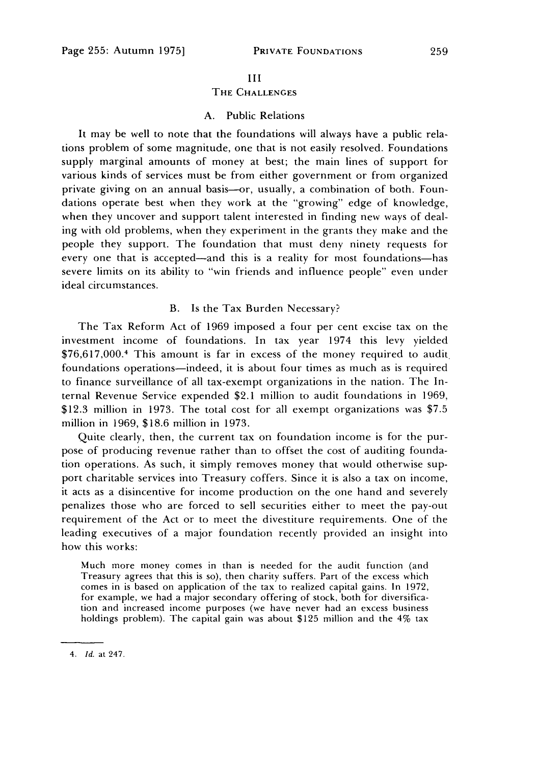### 259

### **III**

# THE **CHALLENGES**

# A. Public Relations

It may be well to note that the foundations will always have a public relations problem of some magnitude, one that is not easily resolved. Foundations supply marginal amounts of money at best; the main lines of support for various kinds of services must be from either government or from organized private giving on an annual basis-or, usually, a combination of both. Foundations operate best when they work at the "growing" edge of knowledge, when they uncover and support talent interested in finding new ways of dealing with old problems, when they experiment in the grants they make and the people they support. The foundation that must deny ninety requests for every one that is accepted-and this is a reality for most foundations-has severe limits on its ability to "win friends and influence people" even under ideal circumstances.

### B. Is the Tax Burden Necessary?

The Tax Reform Act of 1969 imposed a four per cent excise tax on the investment income of foundations. In tax year 1974 this levy yielded \$76,617,000.<sup>4</sup> This amount is far in excess of the money required to audit foundations operations-indeed, it is about four times as much as is required to finance surveillance of all tax-exempt organizations in the nation. The Internal Revenue Service expended \$2.1 million to audit foundations in 1969, \$12.3 million in 1973. The total cost for all exempt organizations was \$7.5 million in 1969, \$18.6 million in 1973.

Quite clearly, then, the current tax on foundation income is for the purpose of producing revenue rather than to offset the cost of auditing foundation operations. As such, it simply removes money that would otherwise support charitable services into Treasury coffers. Since it is also a tax on income, it acts as a disincentive for income production on the one hand and severely penalizes those who are forced to sell securities either to meet the pay-out requirement of the Act or to meet the divestiture requirements. One of the leading executives of a major foundation recently provided an insight into how this works:

Much more money comes in than is needed for the audit function (and Treasury agrees that this is so), then charity suffers. Part of the excess which comes in is based on application of the tax to realized capital gains. In 1972, for example, we had a major secondary offering of stock, both for diversification and increased income purposes (we have never had an excess business holdings problem). The capital gain was about \$125 million and the 4% tax

*<sup>4.</sup> Id.* at 247.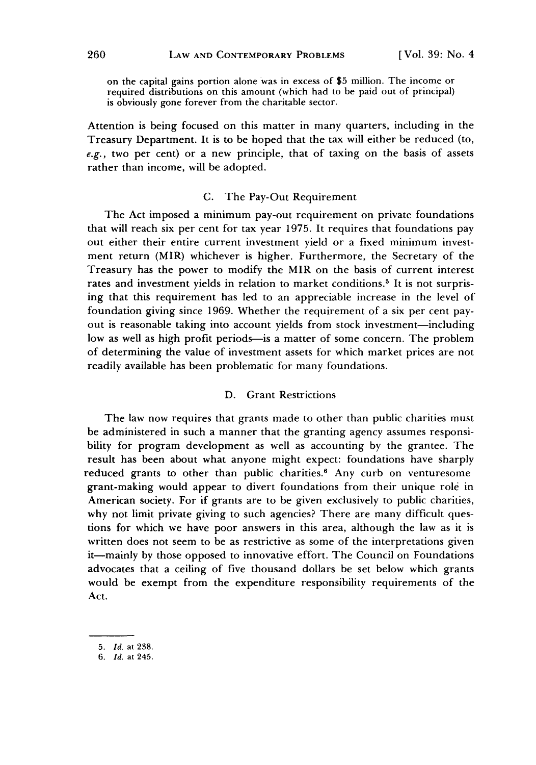on the capital gains portion alone was in excess of \$5 million. The income or required distributions on this amount (which had to be paid out of principal) is obviously gone forever from the charitable sector.

Attention is being focused on this matter in many quarters, including in the Treasury Department. It is to be hoped that the tax will either be reduced (to, e.g., two per cent) or a new principle, that of taxing on the basis of assets rather than income, will be adopted.

### C. The Pay-Out Requirement

The Act imposed a minimum pay-out requirement on private foundations that will reach six per cent for tax year 1975. It requires that foundations pay out either their entire current investment yield or a fixed minimum investment return (MIR) whichever is higher. Furthermore, the Secretary of the Treasury has the power to modify the MIR on the basis of current interest rates and investment yields in relation to market conditions.<sup>5</sup> It is not surprising that this requirement has led to an appreciable increase in the level of foundation giving since 1969. Whether the requirement of a six per cent payout is reasonable taking into account yields from stock investment-including low as well as high profit periods-is a matter of some concern. The problem of determining the value of investment assets for which market prices are not readily available has been problematic for many foundations.

### D. Grant Restrictions

The law now requires that grants made to other than public charities must be administered in such a manner that the granting agency assumes responsibility for program development as well as accounting by the grantee. The result has been about what anyone might expect: foundations have sharply reduced grants to other than public charities.<sup>6</sup> Any curb on venturesome grant-making would appear to divert foundations from their unique role in American society. For if grants are to be given exclusively to public charities, why not limit private giving to such agencies? There are many difficult questions for which we have poor answers in this area, although the law as it is written does not seem to be as restrictive as some of the interpretations given it-mainly by those opposed to innovative effort. The Council on Foundations advocates that a ceiling of five thousand dollars be set below which grants would be exempt from the expenditure responsibility requirements of the Act.

**<sup>5.</sup>** *Id.* at 238.

*<sup>6.</sup> Id.* at 245.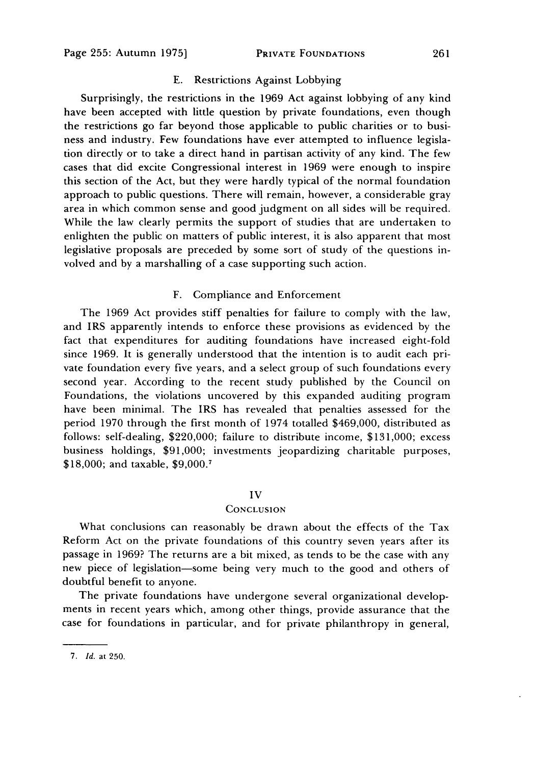Page 255: Autumn 1975]

## E. Restrictions Against Lobbying

Surprisingly, the restrictions in the 1969 Act against lobbying of any kind have been accepted with little question by private foundations, even though the restrictions go far beyond those applicable to public charities or to business and industry. Few foundations have ever attempted to influence legislation directly or to take a direct hand in partisan activity of any kind. The few cases that did excite Congressional interest in 1969 were enough to inspire this section of the Act, but they were hardly typical of the normal foundation approach to public questions. There will remain, however, a considerable gray area in which common sense and good judgment on all sides will be required. While the law clearly permits the support of studies that are undertaken to enlighten the public on matters of public interest, it is also apparent that most legislative proposals are preceded by some sort of study of the questions involved and by a marshalling of a case supporting such action.

# F. Compliance and Enforcement

The 1969 Act provides stiff penalties for failure to comply with the law, and IRS apparently intends to enforce these provisions as evidenced by the fact that expenditures for auditing foundations have increased eight-fold since 1969. It is generally understood that the intention is to audit each private foundation every five years, and a select group of such foundations every second year. According to the recent study published by the Council on Foundations, the violations uncovered by this expanded auditing program have been minimal. The IRS has revealed that penalties assessed for the period 1970 through the first month of 1974 totalled \$469,000, distributed as follows: self-dealing, \$220,000; failure to distribute income, \$131,000; excess business holdings, \$91,000; investments jeopardizing charitable purposes, \$18,000; and taxable, \$9,000.7

### IV

### **CONCLUSION**

What conclusions can reasonably be drawn about the effects of the Tax Reform Act on the private foundations of this country seven years after its passage in 1969? The returns are a bit mixed, as tends to be the case with any new piece of legislation-some being very much to the good and others of doubtful benefit to anyone.

The private foundations have undergone several organizational developments in recent years which, among other things, provide assurance that the case for foundations in particular, and for private philanthropy in general,

*<sup>7.</sup> Id.* at 250.